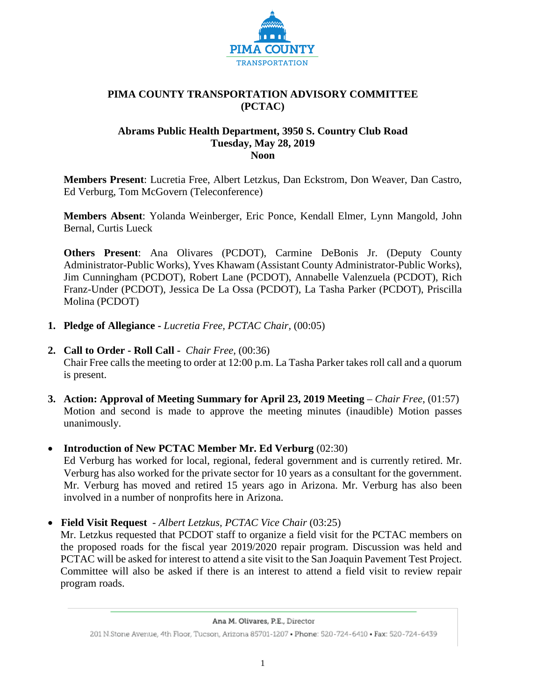

### **PIMA COUNTY TRANSPORTATION ADVISORY COMMITTEE (PCTAC)**

#### **Abrams Public Health Department, 3950 S. Country Club Road Tuesday, May 28, 2019 Noon**

**Members Present**: Lucretia Free, Albert Letzkus, Dan Eckstrom, Don Weaver, Dan Castro, Ed Verburg, Tom McGovern (Teleconference)

**Members Absent**: Yolanda Weinberger, Eric Ponce, Kendall Elmer, Lynn Mangold, John Bernal, Curtis Lueck

**Others Present**: Ana Olivares (PCDOT), Carmine DeBonis Jr. (Deputy County Administrator-Public Works), Yves Khawam (Assistant County Administrator-Public Works), Jim Cunningham (PCDOT), Robert Lane (PCDOT), Annabelle Valenzuela (PCDOT), Rich Franz-Under (PCDOT), Jessica De La Ossa (PCDOT), La Tasha Parker (PCDOT), Priscilla Molina (PCDOT)

- **1. Pledge of Allegiance -** *Lucretia Free, PCTAC Chair,* (00:05)
- **2. Call to Order - Roll Call** *Chair Free,* (00:36)

Chair Free calls the meeting to order at 12:00 p.m. La Tasha Parker takes roll call and a quorum is present.

- **3. Action: Approval of Meeting Summary for April 23, 2019 Meeting** *Chair Free*, (01:57) Motion and second is made to approve the meeting minutes (inaudible) Motion passes unanimously.
- **Introduction of New PCTAC Member Mr. Ed Verburg** (02:30) Ed Verburg has worked for local, regional, federal government and is currently retired. Mr. Verburg has also worked for the private sector for 10 years as a consultant for the government. Mr. Verburg has moved and retired 15 years ago in Arizona. Mr. Verburg has also been involved in a number of nonprofits here in Arizona.
- • **Field Visit Request** *Albert Letzkus, PCTAC Vice Chair* (03:25)

Mr. Letzkus requested that PCDOT staff to organize a field visit for the PCTAC members on the proposed roads for the fiscal year 2019/2020 repair program. Discussion was held and PCTAC will be asked for interest to attend a site visit to the San Joaquin Pavement Test Project. Committee will also be asked if there is an interest to attend a field visit to review repair program roads.

<sup>201</sup> N.Stone Avenue, 4th Floor, Tucson, Arizona 85701-1207 . Phone: 520-724-6410 . Fax: 520-724-6439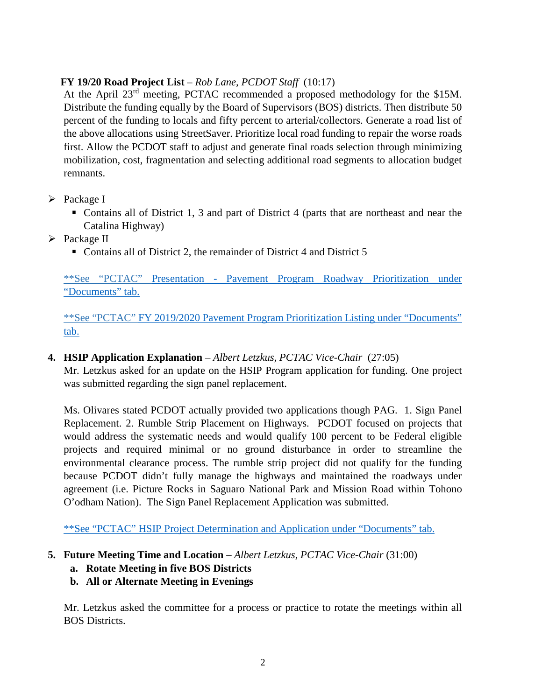# **FY 19/20 Road Project List** – *Rob Lane, PCDOT Staff* (10:17)

At the April 23rd meeting, PCTAC recommended a proposed methodology for the \$15M. Distribute the funding equally by the Board of Supervisors (BOS) districts. Then distribute 50 percent of the funding to locals and fifty percent to arterial/collectors. Generate a road list of the above allocations using StreetSaver. Prioritize local road funding to repair the worse roads first. Allow the PCDOT staff to adjust and generate final roads selection through minimizing mobilization, cost, fragmentation and selecting additional road segments to allocation budget remnants.

## $\triangleright$  Package I

- Contains all of District 1, 3 and part of District 4 (parts that are northeast and near the Catalina Highway)
- $\triangleright$  Package II
	- Contains all of District 2, the remainder of District 4 and District 5

\*\*See "PCTAC" Presentation - [Pavement Program Roadway Prioritization](file://Central.pima.gov/CentralFS/DOT/Support%20Svs/PCTAC%20Main%20File/%E2%80%A2FY%2019-20%20Pavement%20Program%20Roadway%20Prioritization%20Presentation%20-%20May%2028,%202019) under "Documents" tab.

\*\*See "PCTAC" [FY 2019/2020 Pavement Program Prioritization Listing](file://Central.pima.gov/CentralFS/DOT/Support%20Svs/PCTAC%20Main%20File/%E2%80%A2FY%202019/2020%20Pavement%20Program%20Prioritization%20Listing) under "Documents" tab.

## **4. HSIP Application Explanation** – *Albert Letzkus, PCTAC Vice-Chair* (27:05)

Mr. Letzkus asked for an update on the HSIP Program application for funding. One project was submitted regarding the sign panel replacement.

Ms. Olivares stated PCDOT actually provided two applications though PAG. 1. Sign Panel Replacement. 2. Rumble Strip Placement on Highways. PCDOT focused on projects that would address the systematic needs and would qualify 100 percent to be Federal eligible projects and required minimal or no ground disturbance in order to streamline the environmental clearance process. The rumble strip project did not qualify for the funding because PCDOT didn't fully manage the highways and maintained the roadways under agreement (i.e. Picture Rocks in Saguaro National Park and Mission Road within Tohono O'odham Nation). The Sign Panel Replacement Application was submitted.

[\\*\\*See "PCTAC" HSIP Project Determination and Application under "Documents" tab.](file://Central.pima.gov/CentralFS/DOT/Support%20Svs/PCTAC%20Main%20File/HSIP%20Project%20Determination%20and%20Application)

## **5. Future Meeting Time and Location** – *Albert Letzkus, PCTAC Vice-Chair* (31:00)

- **a. Rotate Meeting in five BOS Districts**
- **b. All or Alternate Meeting in Evenings**

Mr. Letzkus asked the committee for a process or practice to rotate the meetings within all BOS Districts.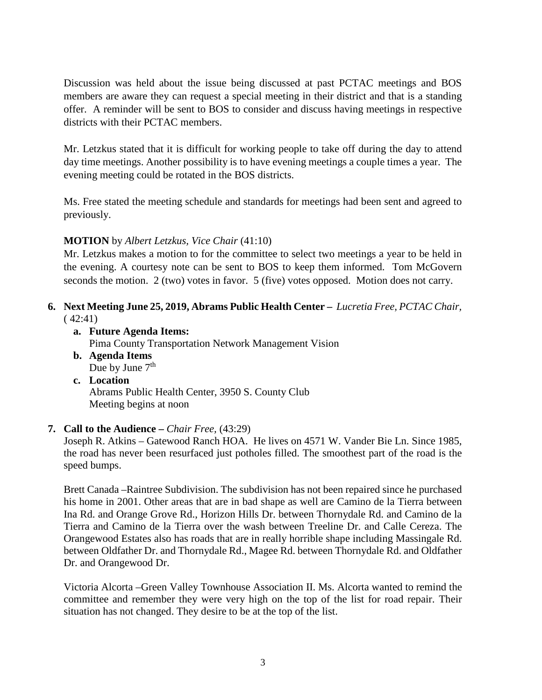Discussion was held about the issue being discussed at past PCTAC meetings and BOS members are aware they can request a special meeting in their district and that is a standing offer. A reminder will be sent to BOS to consider and discuss having meetings in respective districts with their PCTAC members.

Mr. Letzkus stated that it is difficult for working people to take off during the day to attend day time meetings. Another possibility is to have evening meetings a couple times a year. The evening meeting could be rotated in the BOS districts.

Ms. Free stated the meeting schedule and standards for meetings had been sent and agreed to previously.

#### **MOTION** by *Albert Letzkus, Vice Chair* (41:10)

Mr. Letzkus makes a motion to for the committee to select two meetings a year to be held in the evening. A courtesy note can be sent to BOS to keep them informed. Tom McGovern seconds the motion. 2 (two) votes in favor. 5 (five) votes opposed. Motion does not carry.

### **6. Next Meeting June 25, 2019, Abrams Public Health Center –** *Lucretia Free, PCTAC Chair,*   $(42:41)$

**a. Future Agenda Items:** 

Pima County Transportation Network Management Vision

- **b. Agenda Items** Due by June  $7<sup>th</sup>$
- **c. Location** Abrams Public Health Center, 3950 S. County Club Meeting begins at noon

#### **7. Call to the Audience –** *Chair Free,* (43:29)

Joseph R. Atkins – Gatewood Ranch HOA. He lives on 4571 W. Vander Bie Ln. Since 1985, the road has never been resurfaced just potholes filled. The smoothest part of the road is the speed bumps.

Brett Canada –Raintree Subdivision. The subdivision has not been repaired since he purchased his home in 2001. Other areas that are in bad shape as well are Camino de la Tierra between Ina Rd. and Orange Grove Rd., Horizon Hills Dr. between Thornydale Rd. and Camino de la Tierra and Camino de la Tierra over the wash between Treeline Dr. and Calle Cereza. The Orangewood Estates also has roads that are in really horrible shape including Massingale Rd. between Oldfather Dr. and Thornydale Rd., Magee Rd. between Thornydale Rd. and Oldfather Dr. and Orangewood Dr.

Victoria Alcorta –Green Valley Townhouse Association II. Ms. Alcorta wanted to remind the committee and remember they were very high on the top of the list for road repair. Their situation has not changed. They desire to be at the top of the list.